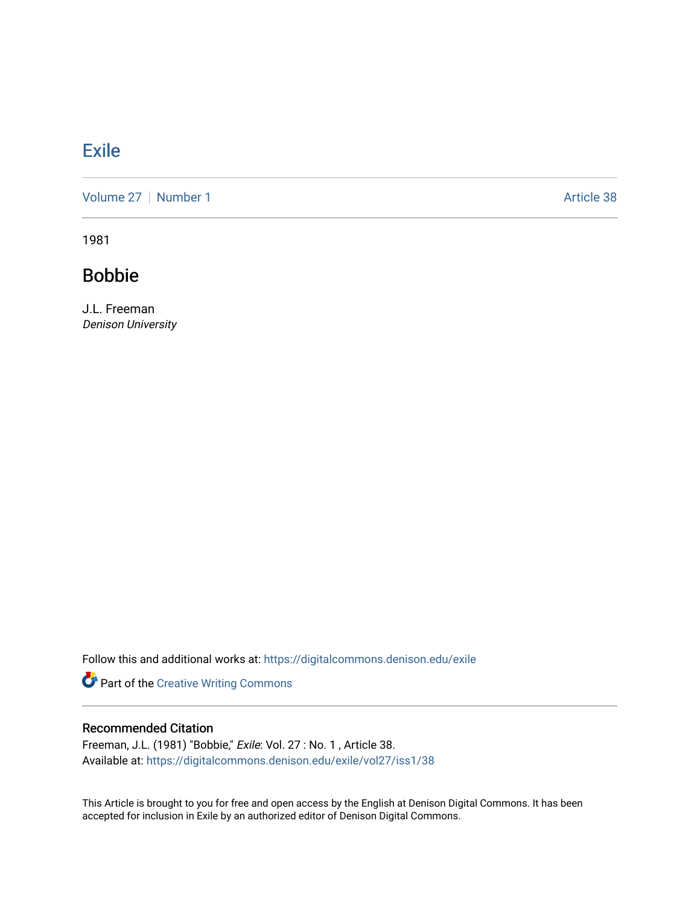# **[Exile](https://digitalcommons.denison.edu/exile)**

[Volume 27](https://digitalcommons.denison.edu/exile/vol27) | [Number 1](https://digitalcommons.denison.edu/exile/vol27/iss1) Article 38

1981

Bobbie

J.L. Freeman Denison University

Follow this and additional works at: [https://digitalcommons.denison.edu/exile](https://digitalcommons.denison.edu/exile?utm_source=digitalcommons.denison.edu%2Fexile%2Fvol27%2Fiss1%2F38&utm_medium=PDF&utm_campaign=PDFCoverPages) 

Part of the [Creative Writing Commons](http://network.bepress.com/hgg/discipline/574?utm_source=digitalcommons.denison.edu%2Fexile%2Fvol27%2Fiss1%2F38&utm_medium=PDF&utm_campaign=PDFCoverPages) 

### Recommended Citation

Freeman, J.L. (1981) "Bobbie," Exile: Vol. 27 : No. 1 , Article 38. Available at: [https://digitalcommons.denison.edu/exile/vol27/iss1/38](https://digitalcommons.denison.edu/exile/vol27/iss1/38?utm_source=digitalcommons.denison.edu%2Fexile%2Fvol27%2Fiss1%2F38&utm_medium=PDF&utm_campaign=PDFCoverPages)

This Article is brought to you for free and open access by the English at Denison Digital Commons. It has been accepted for inclusion in Exile by an authorized editor of Denison Digital Commons.